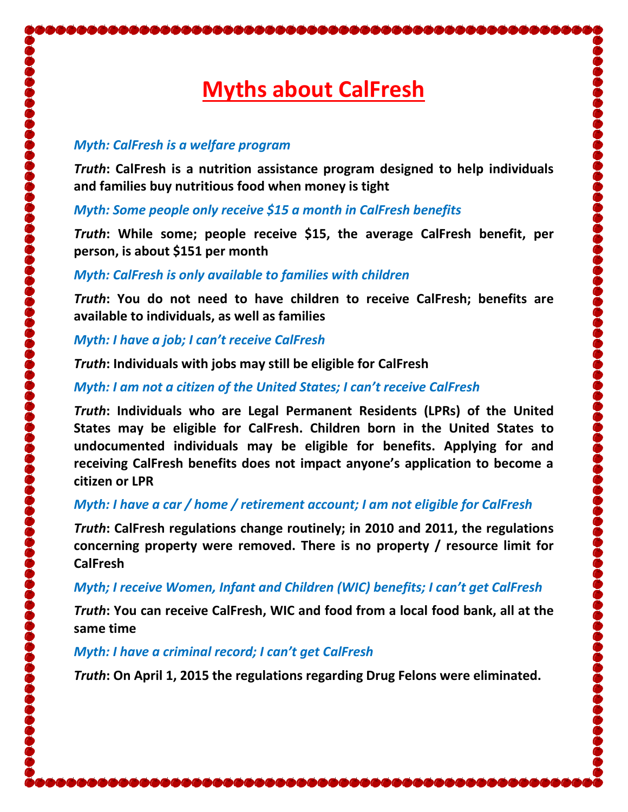# **Myths about CalFresh**

#### *Myth: CalFresh is a welfare program*

*Truth***: CalFresh is a nutrition assistance program designed to help individuals and families buy nutritious food when money is tight**

*Myth: Some people only receive \$15 a month in CalFresh benefits*

*Truth***: While some; people receive \$15, the average CalFresh benefit, per person, is about \$151 per month**

#### *Myth: CalFresh is only available to families with children*

*Truth***: You do not need to have children to receive CalFresh; benefits are available to individuals, as well as families**

*Myth: I have a job; I can't receive CalFresh*

*Truth***: Individuals with jobs may still be eligible for CalFresh**

# *Myth: I am not a citizen of the United States; I can't receive CalFresh*

*Truth***: Individuals who are Legal Permanent Residents (LPRs) of the United States may be eligible for CalFresh. Children born in the United States to undocumented individuals may be eligible for benefits. Applying for and receiving CalFresh benefits does not impact anyone's application to become a citizen or LPR**

# *Myth: I have a car / home / retirement account; I am not eligible for CalFresh*

*Truth***: CalFresh regulations change routinely; in 2010 and 2011, the regulations concerning property were removed. There is no property / resource limit for CalFresh**

# *Myth; I receive Women, Infant and Children (WIC) benefits; I can't get CalFresh*

*Truth***: You can receive CalFresh, WIC and food from a local food bank, all at the same time**

# *Myth: I have a criminal record; I can't get CalFresh*

*Truth***: On April 1, 2015 the regulations regarding Drug Felons were eliminated.**